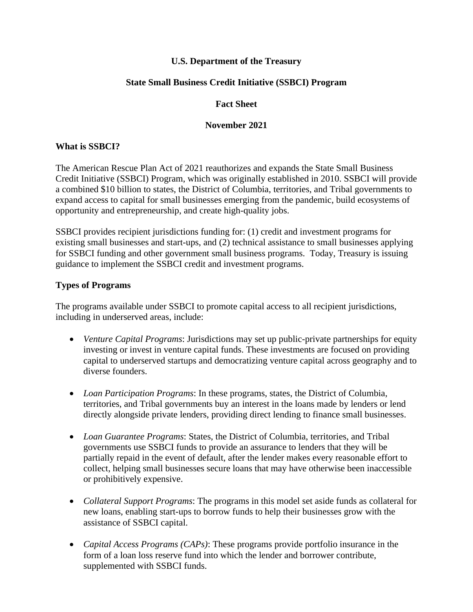### **U.S. Department of the Treasury**

### **State Small Business Credit Initiative (SSBCI) Program**

#### **Fact Sheet**

#### **November 2021**

### **What is SSBCI?**

The American Rescue Plan Act of 2021 reauthorizes and expands the State Small Business Credit Initiative (SSBCI) Program, which was originally established in 2010. SSBCI will provide a combined \$10 billion to states, the District of Columbia, territories, and Tribal governments to expand access to capital for small businesses emerging from the pandemic, build ecosystems of opportunity and entrepreneurship, and create high-quality jobs.

SSBCI provides recipient jurisdictions funding for: (1) credit and investment programs for existing small businesses and start-ups, and (2) technical assistance to small businesses applying for SSBCI funding and other government small business programs. Today, Treasury is issuing guidance to implement the SSBCI credit and investment programs.

### **Types of Programs**

The programs available under SSBCI to promote capital access to all recipient jurisdictions, including in underserved areas, include:

- *Venture Capital Programs*: Jurisdictions may set up public-private partnerships for equity investing or invest in venture capital funds. These investments are focused on providing capital to underserved startups and democratizing venture capital across geography and to diverse founders.
- *Loan Participation Programs*: In these programs, states, the District of Columbia, territories, and Tribal governments buy an interest in the loans made by lenders or lend directly alongside private lenders, providing direct lending to finance small businesses.
- *Loan Guarantee Programs*: States, the District of Columbia, territories, and Tribal governments use SSBCI funds to provide an assurance to lenders that they will be partially repaid in the event of default, after the lender makes every reasonable effort to collect, helping small businesses secure loans that may have otherwise been inaccessible or prohibitively expensive.
- *Collateral Support Programs*: The programs in this model set aside funds as collateral for new loans, enabling start-ups to borrow funds to help their businesses grow with the assistance of SSBCI capital.
- *Capital Access Programs (CAPs)*: These programs provide portfolio insurance in the form of a loan loss reserve fund into which the lender and borrower contribute, supplemented with SSBCI funds.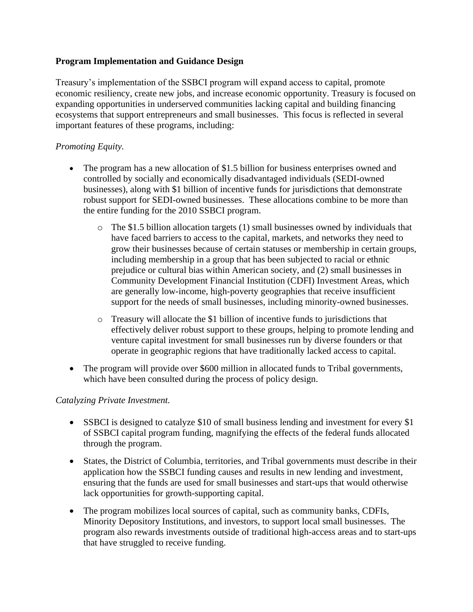## **Program Implementation and Guidance Design**

Treasury's implementation of the SSBCI program will expand access to capital, promote economic resiliency, create new jobs, and increase economic opportunity. Treasury is focused on expanding opportunities in underserved communities lacking capital and building financing ecosystems that support entrepreneurs and small businesses. This focus is reflected in several important features of these programs, including:

# *Promoting Equity.*

- The program has a new allocation of \$1.5 billion for business enterprises owned and controlled by socially and economically disadvantaged individuals (SEDI-owned businesses), along with \$1 billion of incentive funds for jurisdictions that demonstrate robust support for SEDI-owned businesses. These allocations combine to be more than the entire funding for the 2010 SSBCI program.
	- $\circ$  The \$1.5 billion allocation targets (1) small businesses owned by individuals that have faced barriers to access to the capital, markets, and networks they need to grow their businesses because of certain statuses or membership in certain groups, including membership in a group that has been subjected to racial or ethnic prejudice or cultural bias within American society, and (2) small businesses in Community Development Financial Institution (CDFI) Investment Areas, which are generally low-income, high-poverty geographies that receive insufficient support for the needs of small businesses, including minority-owned businesses.
	- o Treasury will allocate the \$1 billion of incentive funds to jurisdictions that effectively deliver robust support to these groups, helping to promote lending and venture capital investment for small businesses run by diverse founders or that operate in geographic regions that have traditionally lacked access to capital.
- The program will provide over \$600 million in allocated funds to Tribal governments, which have been consulted during the process of policy design.

## *Catalyzing Private Investment.*

- SSBCI is designed to catalyze \$10 of small business lending and investment for every \$1 of SSBCI capital program funding, magnifying the effects of the federal funds allocated through the program.
- States, the District of Columbia, territories, and Tribal governments must describe in their application how the SSBCI funding causes and results in new lending and investment, ensuring that the funds are used for small businesses and start-ups that would otherwise lack opportunities for growth-supporting capital.
- The program mobilizes local sources of capital, such as community banks, CDFIs, Minority Depository Institutions, and investors, to support local small businesses. The program also rewards investments outside of traditional high-access areas and to start-ups that have struggled to receive funding.